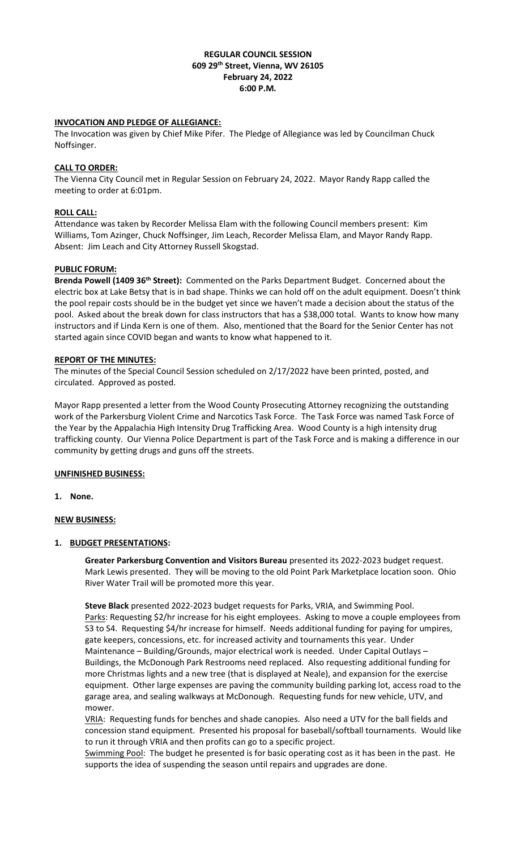### **REGULAR COUNCIL SESSION 609 29th Street, Vienna, WV 26105 February 24, 2022 6:00 P.M.**

### **INVOCATION AND PLEDGE OF ALLEGIANCE:**

The Invocation was given by Chief Mike Pifer. The Pledge of Allegiance was led by Councilman Chuck Noffsinger.

## **CALL TO ORDER:**

The Vienna City Council met in Regular Session on February 24, 2022. Mayor Randy Rapp called the meeting to order at 6:01pm.

### **ROLL CALL:**

Attendance was taken by Recorder Melissa Elam with the following Council members present: Kim Williams, Tom Azinger, Chuck Noffsinger, Jim Leach, Recorder Melissa Elam, and Mayor Randy Rapp. Absent: Jim Leach and City Attorney Russell Skogstad.

### **PUBLIC FORUM:**

**Brenda Powell (1409 36th Street):** Commented on the Parks Department Budget.Concerned about the electric box at Lake Betsy that is in bad shape. Thinks we can hold off on the adult equipment. Doesn't think the pool repair costs should be in the budget yet since we haven't made a decision about the status of the pool. Asked about the break down for class instructors that has a \$38,000 total. Wants to know how many instructors and if Linda Kern is one of them. Also, mentioned that the Board for the Senior Center has not started again since COVID began and wants to know what happened to it.

### **REPORT OF THE MINUTES:**

The minutes of the Special Council Session scheduled on 2/17/2022 have been printed, posted, and circulated. Approved as posted.

Mayor Rapp presented a letter from the Wood County Prosecuting Attorney recognizing the outstanding work of the Parkersburg Violent Crime and Narcotics Task Force. The Task Force was named Task Force of the Year by the Appalachia High Intensity Drug Trafficking Area. Wood County is a high intensity drug trafficking county. Our Vienna Police Department is part of the Task Force and is making a difference in our community by getting drugs and guns off the streets.

#### **UNFINISHED BUSINESS:**

**1. None.**

# **NEW BUSINESS:**

#### **1. BUDGET PRESENTATIONS:**

**Greater Parkersburg Convention and Visitors Bureau** presented its 2022-2023 budget request. Mark Lewis presented. They will be moving to the old Point Park Marketplace location soon. Ohio River Water Trail will be promoted more this year.

**Steve Black** presented 2022-2023 budget requests for Parks, VRIA, and Swimming Pool. Parks: Requesting \$2/hr increase for his eight employees. Asking to move a couple employees from S3 to S4. Requesting \$4/hr increase for himself. Needs additional funding for paying for umpires, gate keepers, concessions, etc. for increased activity and tournaments this year. Under Maintenance – Building/Grounds, major electrical work is needed. Under Capital Outlays – Buildings, the McDonough Park Restrooms need replaced. Also requesting additional funding for more Christmas lights and a new tree (that is displayed at Neale), and expansion for the exercise equipment. Other large expenses are paving the community building parking lot, access road to the garage area, and sealing walkways at McDonough. Requesting funds for new vehicle, UTV, and mower.

VRIA: Requesting funds for benches and shade canopies. Also need a UTV for the ball fields and concession stand equipment. Presented his proposal for baseball/softball tournaments. Would like to run it through VRIA and then profits can go to a specific project.

Swimming Pool: The budget he presented is for basic operating cost as it has been in the past. He supports the idea of suspending the season until repairs and upgrades are done.